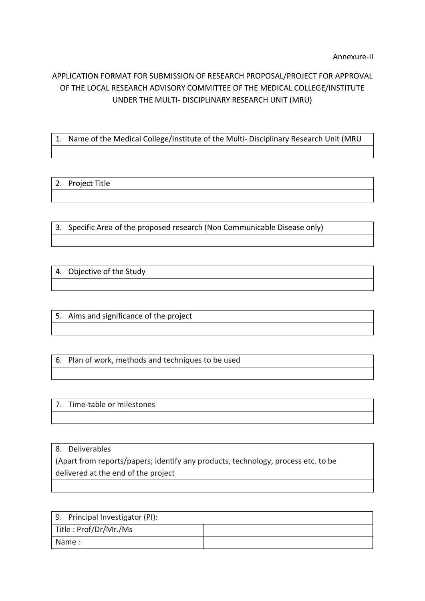## APPLICATION FORMAT FOR SUBMISSION OF RESEARCH PROPOSAL/PROJECT FOR APPROVAL OF THE LOCAL RESEARCH ADVISORY COMMITTEE OF THE MEDICAL COLLEGE/INSTITUTE UNDER THE MULTI- DISCIPLINARY RESEARCH UNIT (MRU)

1. Name of the Medical College/Institute of the Multi- Disciplinary Research Unit (MRU

## 2. Project Title

3. Specific Area of the proposed research (Non Communicable Disease only)

4. Objective of the Study

5. Aims and significance of the project

6. Plan of work, methods and techniques to be used

7. Time-table or milestones

8. Deliverables

(Apart from reports/papers; identify any products, technology, process etc. to be delivered at the end of the project

| 9. Principal Investigator (PI): |  |
|---------------------------------|--|
| Title: Prof/Dr/Mr./Ms           |  |
| Name:                           |  |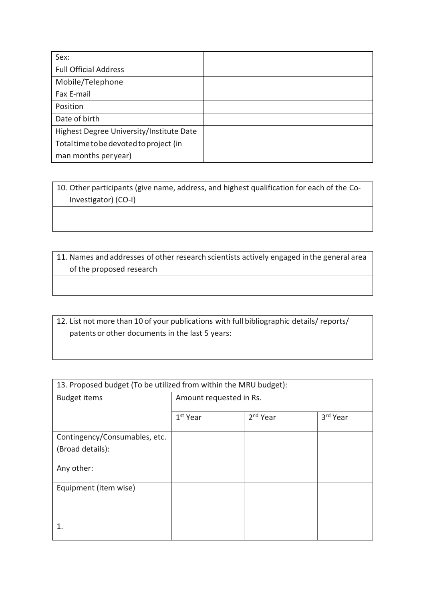| Sex:                                     |  |
|------------------------------------------|--|
| <b>Full Official Address</b>             |  |
| Mobile/Telephone                         |  |
| Fax E-mail                               |  |
| Position                                 |  |
| Date of birth                            |  |
| Highest Degree University/Institute Date |  |
| Total time to be devoted to project (in  |  |
| man months peryear)                      |  |

10. Other participants (give name, address, and highest qualification for each of the Co-Investigator) (CO-I)

11. Names and addresses of other research scientists actively engaged in the general area of the proposed research

12. List not more than 10 of your publications with full bibliographic details/ reports/ patents or other documents in the last 5 years:

| 13. Proposed budget (To be utilized from within the MRU budget): |                         |                      |          |
|------------------------------------------------------------------|-------------------------|----------------------|----------|
| <b>Budget items</b>                                              | Amount requested in Rs. |                      |          |
|                                                                  |                         |                      |          |
|                                                                  | 1 <sup>st</sup> Year    | 2 <sup>nd</sup> Year | 3rd Year |
|                                                                  |                         |                      |          |
| Contingency/Consumables, etc.                                    |                         |                      |          |
| (Broad details):                                                 |                         |                      |          |
|                                                                  |                         |                      |          |
| Any other:                                                       |                         |                      |          |
|                                                                  |                         |                      |          |
| Equipment (item wise)                                            |                         |                      |          |
|                                                                  |                         |                      |          |
|                                                                  |                         |                      |          |
|                                                                  |                         |                      |          |
|                                                                  |                         |                      |          |
|                                                                  |                         |                      |          |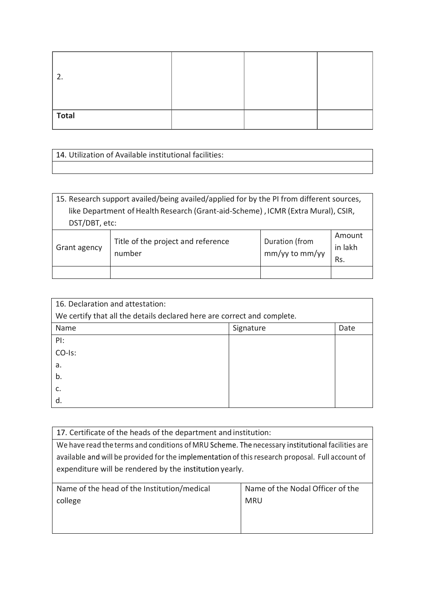| ำ            |  |  |
|--------------|--|--|
| <b>Total</b> |  |  |

| 14. Utilization of Available institutional facilities: |
|--------------------------------------------------------|
|                                                        |

| 15. Research support availed/being availed/applied for by the PI from different sources,                                     |  |  |  |
|------------------------------------------------------------------------------------------------------------------------------|--|--|--|
| like Department of Health Research (Grant-aid-Scheme), ICMR (Extra Mural), CSIR,                                             |  |  |  |
| DST/DBT, etc:                                                                                                                |  |  |  |
| Amount<br>Title of the project and reference<br>Duration (from<br>in lakh<br>Grant agency<br>mm/yy to mm/yy<br>number<br>Rs. |  |  |  |
|                                                                                                                              |  |  |  |

| 16. Declaration and attestation:                                        |           |      |
|-------------------------------------------------------------------------|-----------|------|
| We certify that all the details declared here are correct and complete. |           |      |
| Name                                                                    | Signature | Date |
| PI:                                                                     |           |      |
| CO-Is:                                                                  |           |      |
| a.                                                                      |           |      |
| b.                                                                      |           |      |
| c.                                                                      |           |      |
| d.                                                                      |           |      |

| 17. Certificate of the heads of the department and institution:                                  |                                  |  |
|--------------------------------------------------------------------------------------------------|----------------------------------|--|
| We have read the terms and conditions of MRU Scheme. The necessary institutional facilities are  |                                  |  |
| available and will be provided for the implementation of this research proposal. Full account of |                                  |  |
| expenditure will be rendered by the institution yearly.                                          |                                  |  |
|                                                                                                  |                                  |  |
| Name of the head of the Institution/medical                                                      | Name of the Nodal Officer of the |  |
| college<br><b>MRU</b>                                                                            |                                  |  |
|                                                                                                  |                                  |  |
|                                                                                                  |                                  |  |
|                                                                                                  |                                  |  |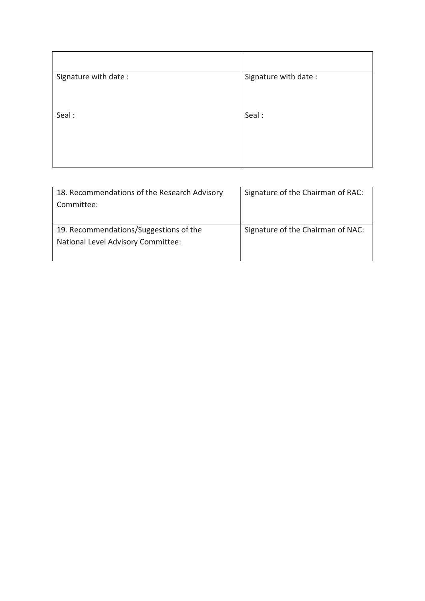| Signature with date: | Signature with date: |
|----------------------|----------------------|
|                      |                      |
| Seal:                | Seal:                |
|                      |                      |
|                      |                      |

| 18. Recommendations of the Research Advisory<br>Committee:                   | Signature of the Chairman of RAC: |
|------------------------------------------------------------------------------|-----------------------------------|
| 19. Recommendations/Suggestions of the<br>National Level Advisory Committee: | Signature of the Chairman of NAC: |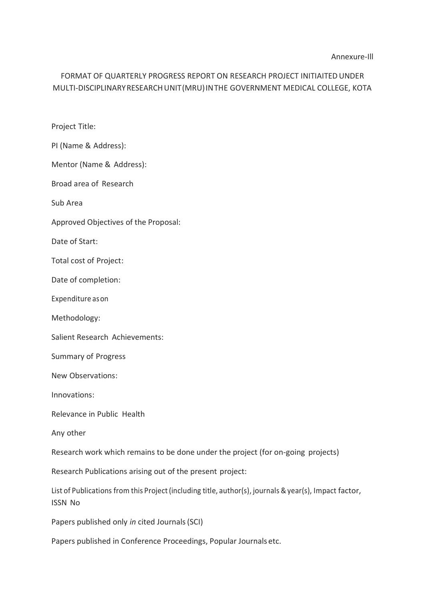## FORMAT OF QUARTERLY PROGRESS REPORT ON RESEARCH PROJECT INITIAITEDUNDER MULTI-DISCIPLINARYRESEARCHUNIT(MRU)INTHE GOVERNMENT MEDICAL COLLEGE, KOTA

Project Title:

PI (Name & Address):

Mentor (Name & Address):

Broad area of Research

Sub Area

Approved Objectives of the Proposal:

Date of Start:

Total cost of Project:

Date of completion:

Expenditure ason

Methodology:

Salient Research Achievements:

Summary of Progress

New Observations:

Innovations:

Relevance in Public Health

Any other

Research work which remains to be done under the project (for on-going projects)

Research Publications arising out of the present project:

List of Publications from this Project (including title, author(s), journals & year(s), Impact factor, ISSN No

Papers published only *in* cited Journals(SCI)

Papers published in Conference Proceedings, Popular Journals etc.